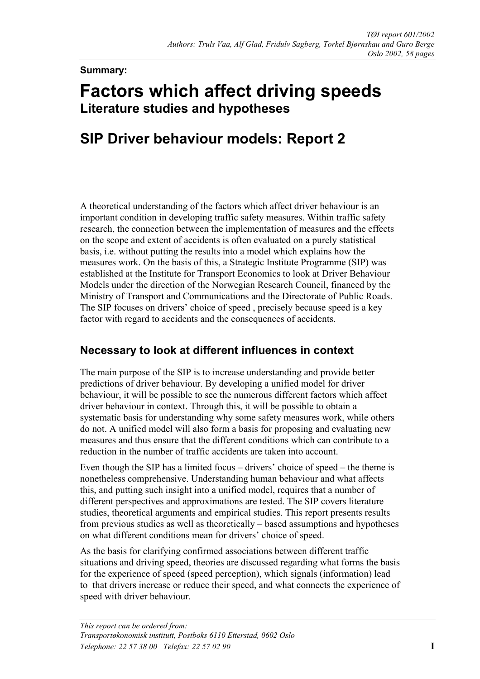#### **Summary:**

# **Factors which affect driving speeds Literature studies and hypotheses**

## **SIP Driver behaviour models: Report 2**

A theoretical understanding of the factors which affect driver behaviour is an important condition in developing traffic safety measures. Within traffic safety research, the connection between the implementation of measures and the effects on the scope and extent of accidents is often evaluated on a purely statistical basis, i.e. without putting the results into a model which explains how the measures work. On the basis of this, a Strategic Institute Programme (SIP) was established at the Institute for Transport Economics to look at Driver Behaviour Models under the direction of the Norwegian Research Council, financed by the Ministry of Transport and Communications and the Directorate of Public Roads. The SIP focuses on drivers' choice of speed , precisely because speed is a key factor with regard to accidents and the consequences of accidents.

#### **Necessary to look at different influences in context**

The main purpose of the SIP is to increase understanding and provide better predictions of driver behaviour. By developing a unified model for driver behaviour, it will be possible to see the numerous different factors which affect driver behaviour in context. Through this, it will be possible to obtain a systematic basis for understanding why some safety measures work, while others do not. A unified model will also form a basis for proposing and evaluating new measures and thus ensure that the different conditions which can contribute to a reduction in the number of traffic accidents are taken into account.

Even though the SIP has a limited focus – drivers' choice of speed – the theme is nonetheless comprehensive. Understanding human behaviour and what affects this, and putting such insight into a unified model, requires that a number of different perspectives and approximations are tested. The SIP covers literature studies, theoretical arguments and empirical studies. This report presents results from previous studies as well as theoretically – based assumptions and hypotheses on what different conditions mean for drivers' choice of speed.

As the basis for clarifying confirmed associations between different traffic situations and driving speed, theories are discussed regarding what forms the basis for the experience of speed (speed perception), which signals (information) lead to that drivers increase or reduce their speed, and what connects the experience of speed with driver behaviour.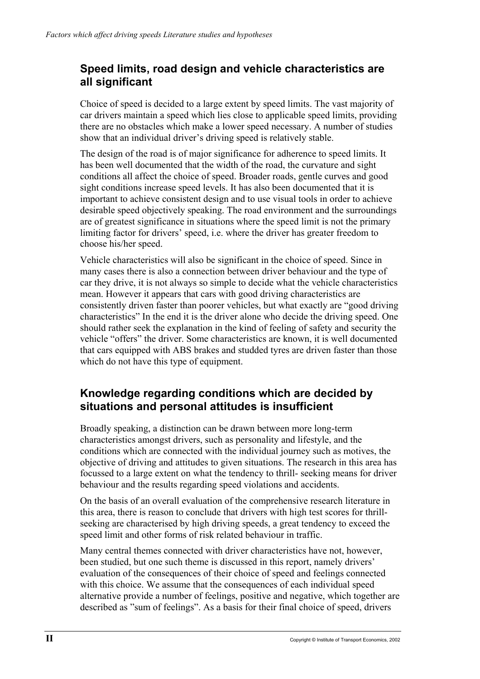#### **Speed limits, road design and vehicle characteristics are all significant**

Choice of speed is decided to a large extent by speed limits. The vast majority of car drivers maintain a speed which lies close to applicable speed limits, providing there are no obstacles which make a lower speed necessary. A number of studies show that an individual driver's driving speed is relatively stable.

The design of the road is of major significance for adherence to speed limits. It has been well documented that the width of the road, the curvature and sight conditions all affect the choice of speed. Broader roads, gentle curves and good sight conditions increase speed levels. It has also been documented that it is important to achieve consistent design and to use visual tools in order to achieve desirable speed objectively speaking. The road environment and the surroundings are of greatest significance in situations where the speed limit is not the primary limiting factor for drivers' speed, i.e. where the driver has greater freedom to choose his/her speed.

Vehicle characteristics will also be significant in the choice of speed. Since in many cases there is also a connection between driver behaviour and the type of car they drive, it is not always so simple to decide what the vehicle characteristics mean. However it appears that cars with good driving characteristics are consistently driven faster than poorer vehicles, but what exactly are "good driving characteristics" In the end it is the driver alone who decide the driving speed. One should rather seek the explanation in the kind of feeling of safety and security the vehicle "offers" the driver. Some characteristics are known, it is well documented that cars equipped with ABS brakes and studded tyres are driven faster than those which do not have this type of equipment.

### **Knowledge regarding conditions which are decided by situations and personal attitudes is insufficient**

Broadly speaking, a distinction can be drawn between more long-term characteristics amongst drivers, such as personality and lifestyle, and the conditions which are connected with the individual journey such as motives, the objective of driving and attitudes to given situations. The research in this area has focussed to a large extent on what the tendency to thrill- seeking means for driver behaviour and the results regarding speed violations and accidents.

On the basis of an overall evaluation of the comprehensive research literature in this area, there is reason to conclude that drivers with high test scores for thrillseeking are characterised by high driving speeds, a great tendency to exceed the speed limit and other forms of risk related behaviour in traffic.

Many central themes connected with driver characteristics have not, however, been studied, but one such theme is discussed in this report, namely drivers' evaluation of the consequences of their choice of speed and feelings connected with this choice. We assume that the consequences of each individual speed alternative provide a number of feelings, positive and negative, which together are described as "sum of feelings". As a basis for their final choice of speed, drivers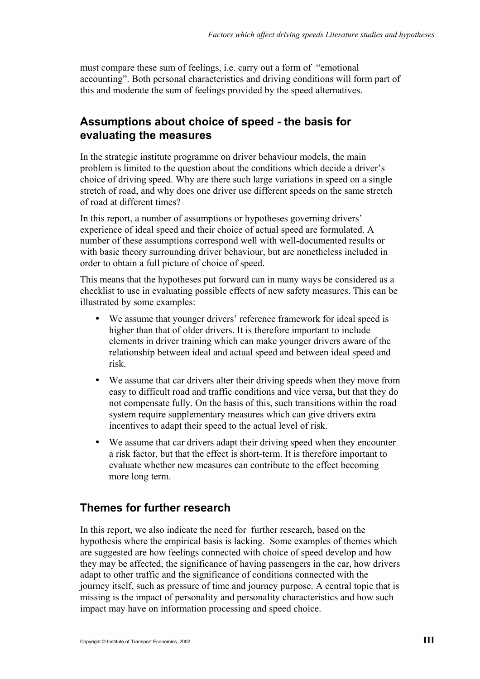must compare these sum of feelings, i.e. carry out a form of "emotional accounting". Both personal characteristics and driving conditions will form part of this and moderate the sum of feelings provided by the speed alternatives.

#### **Assumptions about choice of speed - the basis for evaluating the measures**

In the strategic institute programme on driver behaviour models, the main problem is limited to the question about the conditions which decide a driver's choice of driving speed. Why are there such large variations in speed on a single stretch of road, and why does one driver use different speeds on the same stretch of road at different times?

In this report, a number of assumptions or hypotheses governing drivers' experience of ideal speed and their choice of actual speed are formulated. A number of these assumptions correspond well with well-documented results or with basic theory surrounding driver behaviour, but are nonetheless included in order to obtain a full picture of choice of speed.

This means that the hypotheses put forward can in many ways be considered as a checklist to use in evaluating possible effects of new safety measures. This can be illustrated by some examples:

- We assume that younger drivers' reference framework for ideal speed is higher than that of older drivers. It is therefore important to include elements in driver training which can make younger drivers aware of the relationship between ideal and actual speed and between ideal speed and risk.
- We assume that car drivers alter their driving speeds when they move from easy to difficult road and traffic conditions and vice versa, but that they do not compensate fully. On the basis of this, such transitions within the road system require supplementary measures which can give drivers extra incentives to adapt their speed to the actual level of risk.
- We assume that car drivers adapt their driving speed when they encounter a risk factor, but that the effect is short-term. It is therefore important to evaluate whether new measures can contribute to the effect becoming more long term.

### **Themes for further research**

In this report, we also indicate the need for further research, based on the hypothesis where the empirical basis is lacking. Some examples of themes which are suggested are how feelings connected with choice of speed develop and how they may be affected, the significance of having passengers in the car, how drivers adapt to other traffic and the significance of conditions connected with the journey itself, such as pressure of time and journey purpose. A central topic that is missing is the impact of personality and personality characteristics and how such impact may have on information processing and speed choice.